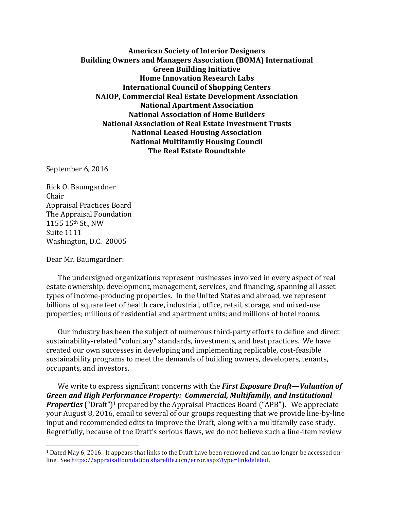**American Society of Interior Designers Building Owners and Managers Association (BOMA) International Green Building Initiative Home Innovation Research Labs International Council of Shopping Centers NAIOP, Commercial Real Estate Development Association National Apartment Association National Association of Home Builders National Association of Real Estate Investment Trusts National Leased Housing Association National Multifamily Housing Council The Real Estate Roundtable**

September 6, 2016

Rick O. Baumgardner Chair Appraisal Practices Board The Appraisal Foundation 1155 15th St., NW Suite 1111 Washington, D.C. 20005

Dear Mr. Baumgardner:

 $\overline{\phantom{a}}$ 

The undersigned organizations represent businesses involved in every aspect of real estate ownership, development, management, services, and financing, spanning all asset types of income-producing properties. In the United States and abroad, we represent billions of square feet of health care, industrial, office, retail, storage, and mixed-use properties; millions of residential and apartment units; and millions of hotel rooms.

Our industry has been the subject of numerous third-party efforts to define and direct sustainability-related "voluntary" standards, investments, and best practices. We have created our own successes in developing and implementing replicable, cost-feasible sustainability programs to meet the demands of building owners, developers, tenants, occupants, and investors.

We write to express significant concerns with the *First Exposure Draft—Valuation of Green and High Performance Property: Commercial, Multifamily, and Institutional*  **Properties** ("Draft")<sup>1</sup> prepared by the Appraisal Practices Board ("APB"). We appreciate your August 8, 2016, email to several of our groups requesting that we provide line-by-line input and recommended edits to improve the Draft, along with a multifamily case study. Regretfully, because of the Draft's serious flaws, we do not believe such a line-item review

<sup>1</sup> Dated May 6, 2016. It appears that links to the Draft have been removed and can no longer be accessed online. Se[e https://appraisalfoundation.sharefile.com/error.aspx?type=linkdeleted.](https://appraisalfoundation.sharefile.com/error.aspx?type=linkdeleted)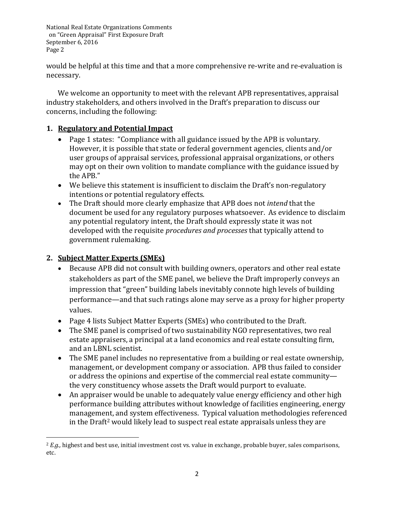would be helpful at this time and that a more comprehensive re-write and re-evaluation is necessary.

We welcome an opportunity to meet with the relevant APB representatives, appraisal industry stakeholders, and others involved in the Draft's preparation to discuss our concerns, including the following:

### **1. Regulatory and Potential Impact**

- Page 1 states: "Compliance with all guidance issued by the APB is voluntary. However, it is possible that state or federal government agencies, clients and/or user groups of appraisal services, professional appraisal organizations, or others may opt on their own volition to mandate compliance with the guidance issued by the APB."
- We believe this statement is insufficient to disclaim the Draft's non-regulatory intentions or potential regulatory effects.
- The Draft should more clearly emphasize that APB does not *intend* that the document be used for any regulatory purposes whatsoever. As evidence to disclaim any potential regulatory intent, the Draft should expressly state it was not developed with the requisite *procedures and processes* that typically attend to government rulemaking.

## **2. Subject Matter Experts (SMEs)**

 $\overline{\phantom{a}}$ 

- Because APB did not consult with building owners, operators and other real estate stakeholders as part of the SME panel, we believe the Draft improperly conveys an impression that "green" building labels inevitably connote high levels of building performance—and that such ratings alone may serve as a proxy for higher property values.
- Page 4 lists Subject Matter Experts (SMEs) who contributed to the Draft.
- The SME panel is comprised of two sustainability NGO representatives, two real estate appraisers, a principal at a land economics and real estate consulting firm, and an LBNL scientist.
- The SME panel includes no representative from a building or real estate ownership, management, or development company or association. APB thus failed to consider or address the opinions and expertise of the commercial real estate community the very constituency whose assets the Draft would purport to evaluate.
- An appraiser would be unable to adequately value energy efficiency and other high performance building attributes without knowledge of facilities engineering, energy management, and system effectiveness. Typical valuation methodologies referenced in the Draft<sup>2</sup> would likely lead to suspect real estate appraisals unless they are

<sup>2</sup> *E.g.,* highest and best use, initial investment cost vs. value in exchange, probable buyer, sales comparisons, etc.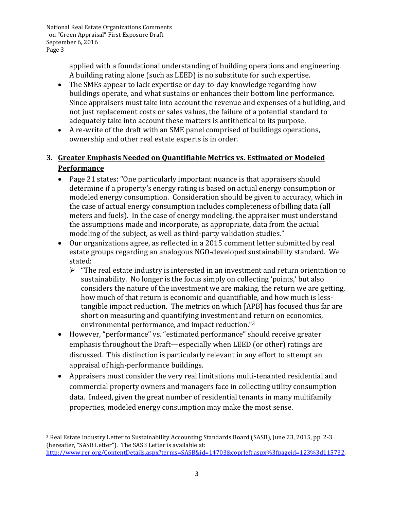$\overline{a}$ 

applied with a foundational understanding of building operations and engineering. A building rating alone (such as LEED) is no substitute for such expertise.

- The SMEs appear to lack expertise or day-to-day knowledge regarding how buildings operate, and what sustains or enhances their bottom line performance. Since appraisers must take into account the revenue and expenses of a building, and not just replacement costs or sales values, the failure of a potential standard to adequately take into account these matters is antithetical to its purpose.
- A re-write of the draft with an SME panel comprised of buildings operations, ownership and other real estate experts is in order.

# **3. Greater Emphasis Needed on Quantifiable Metrics vs. Estimated or Modeled Performance**

- Page 21 states: "One particularly important nuance is that appraisers should determine if a property's energy rating is based on actual energy consumption or modeled energy consumption. Consideration should be given to accuracy, which in the case of actual energy consumption includes completeness of billing data (all meters and fuels). In the case of energy modeling, the appraiser must understand the assumptions made and incorporate, as appropriate, data from the actual modeling of the subject, as well as third-party validation studies."
- Our organizations agree, as reflected in a 2015 comment letter submitted by real estate groups regarding an analogous NGO-developed sustainability standard. We stated:
	- $\triangleright$  "The real estate industry is interested in an investment and return orientation to sustainability. No longer is the focus simply on collecting 'points,' but also considers the nature of the investment we are making, the return we are getting, how much of that return is economic and quantifiable, and how much is lesstangible impact reduction. The metrics on which [APB] has focused thus far are short on measuring and quantifying investment and return on economics, environmental performance, and impact reduction."<sup>3</sup>
- However, "performance" vs. "estimated performance" should receive greater emphasis throughout the Draft—especially when LEED (or other) ratings are discussed. This distinction is particularly relevant in any effort to attempt an appraisal of high-performance buildings.
- Appraisers must consider the very real limitations multi-tenanted residential and commercial property owners and managers face in collecting utility consumption data. Indeed, given the great number of residential tenants in many multifamily properties, modeled energy consumption may make the most sense.

<sup>3</sup> Real Estate Industry Letter to Sustainability Accounting Standards Board (SASB), June 23, 2015, pp. 2-3 (hereafter, "SASB Letter"). The SASB Letter is available at: [http://www.rer.org/ContentDetails.aspx?terms=SASB&id=14703&coprleft.aspx%3fpageid=123%3d115732.](http://www.rer.org/ContentDetails.aspx?terms=SASB&id=14703&coprleft.aspx%3fpageid=123%3d115732)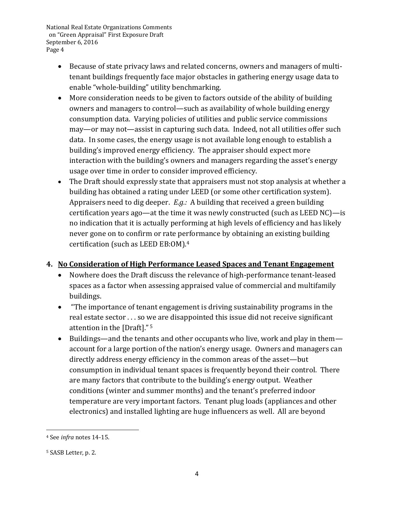- Because of state privacy laws and related concerns, owners and managers of multitenant buildings frequently face major obstacles in gathering energy usage data to enable "whole-building" utility benchmarking.
- More consideration needs to be given to factors outside of the ability of building owners and managers to control—such as availability of whole building energy consumption data. Varying policies of utilities and public service commissions may—or may not—assist in capturing such data. Indeed, not all utilities offer such data. In some cases, the energy usage is not available long enough to establish a building's improved energy efficiency. The appraiser should expect more interaction with the building's owners and managers regarding the asset's energy usage over time in order to consider improved efficiency.
- The Draft should expressly state that appraisers must not stop analysis at whether a building has obtained a rating under LEED (or some other certification system). Appraisers need to dig deeper. *E.g.:* A building that received a green building certification years ago—at the time it was newly constructed (such as LEED NC)—is no indication that it is actually performing at high levels of efficiency and has likely never gone on to confirm or rate performance by obtaining an existing building certification (such as LEED EB:OM).<sup>4</sup>

#### **4. No Consideration of High Performance Leased Spaces and Tenant Engagement**

- Nowhere does the Draft discuss the relevance of high-performance tenant-leased spaces as a factor when assessing appraised value of commercial and multifamily buildings.
- "The importance of tenant engagement is driving sustainability programs in the real estate sector . . . so we are disappointed this issue did not receive significant attention in the [Draft]." <sup>5</sup>
- Buildings—and the tenants and other occupants who live, work and play in them account for a large portion of the nation's energy usage. Owners and managers can directly address energy efficiency in the common areas of the asset—but consumption in individual tenant spaces is frequently beyond their control. There are many factors that contribute to the building's energy output. Weather conditions (winter and summer months) and the tenant's preferred indoor temperature are very important factors. Tenant plug loads (appliances and other electronics) and installed lighting are huge influencers as well. All are beyond

 $\overline{a}$ <sup>4</sup> See *infra* notes 14-15.

<sup>5</sup> SASB Letter, p. 2.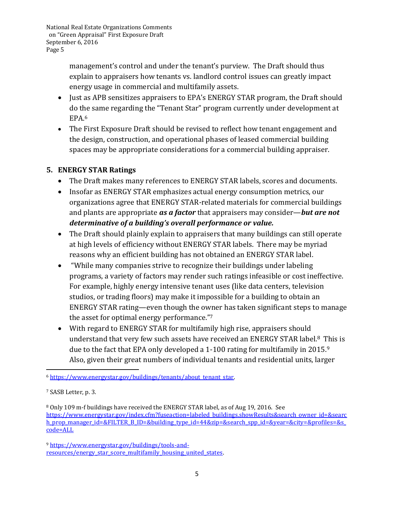> management's control and under the tenant's purview. The Draft should thus explain to appraisers how tenants vs. landlord control issues can greatly impact energy usage in commercial and multifamily assets.

- Just as APB sensitizes appraisers to EPA's ENERGY STAR program, the Draft should do the same regarding the "Tenant Star" program currently under development at EPA.<sup>6</sup>
- The First Exposure Draft should be revised to reflect how tenant engagement and the design, construction, and operational phases of leased commercial building spaces may be appropriate considerations for a commercial building appraiser.

### **5. ENERGY STAR Ratings**

- The Draft makes many references to ENERGY STAR labels, scores and documents.
- Insofar as ENERGY STAR emphasizes actual energy consumption metrics, our organizations agree that ENERGY STAR-related materials for commercial buildings and plants are appropriate *as a factor* that appraisers may consider—*but are not determinative of a building's overall performance or value.*
- The Draft should plainly explain to appraisers that many buildings can still operate at high levels of efficiency without ENERGY STAR labels. There may be myriad reasons why an efficient building has not obtained an ENERGY STAR label.
- "While many companies strive to recognize their buildings under labeling programs, a variety of factors may render such ratings infeasible or cost ineffective. For example, highly energy intensive tenant uses (like data centers, television studios, or trading floors) may make it impossible for a building to obtain an ENERGY STAR rating—even though the owner has taken significant steps to manage the asset for optimal energy performance."<sup>7</sup>
- With regard to ENERGY STAR for multifamily high rise, appraisers should understand that very few such assets have received an ENERGY STAR label.<sup>8</sup> This is due to the fact that EPA only developed a 1-100 rating for multifamily in 2015.<sup>9</sup> Also, given their great numbers of individual tenants and residential units, larger

 $\overline{a}$ 

<sup>8</sup> Only 109 m-f buildings have received the ENERGY STAR label, as of Aug 19, 2016. See [https://www.energystar.gov/index.cfm?fuseaction=labeled\\_buildings.showResults&search\\_owner\\_id=&searc](https://www.energystar.gov/index.cfm?fuseaction=labeled_buildings.showResults&search_owner_id=&search_prop_manager_id=&FILTER_B_ID=&building_type_id=44&zip=&search_spp_id=&year=&city=&profiles=&s_code=ALL) [h\\_prop\\_manager\\_id=&FILTER\\_B\\_ID=&building\\_type\\_id=44&zip=&search\\_spp\\_id=&year=&city=&profiles=&s\\_](https://www.energystar.gov/index.cfm?fuseaction=labeled_buildings.showResults&search_owner_id=&search_prop_manager_id=&FILTER_B_ID=&building_type_id=44&zip=&search_spp_id=&year=&city=&profiles=&s_code=ALL) [code=ALL](https://www.energystar.gov/index.cfm?fuseaction=labeled_buildings.showResults&search_owner_id=&search_prop_manager_id=&FILTER_B_ID=&building_type_id=44&zip=&search_spp_id=&year=&city=&profiles=&s_code=ALL)

<sup>6</sup> [https://www.energystar.gov/buildings/tenants/about\\_tenant\\_star.](https://www.energystar.gov/buildings/tenants/about_tenant_star)

<sup>7</sup> SASB Letter, p. 3.

<sup>9</sup> [https://www.energystar.gov/buildings/tools-and](https://www.energystar.gov/buildings/tools-and-resources/energy_star_score_multifamily_housing_united_states)[resources/energy\\_star\\_score\\_multifamily\\_housing\\_united\\_states.](https://www.energystar.gov/buildings/tools-and-resources/energy_star_score_multifamily_housing_united_states)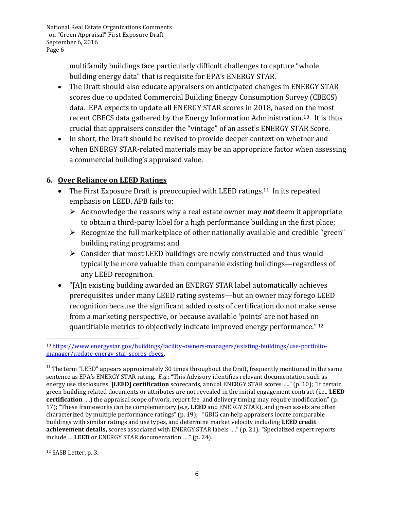> multifamily buildings face particularly difficult challenges to capture "whole building energy data" that is requisite for EPA's ENERGY STAR.

- The Draft should also educate appraisers on anticipated changes in ENERGY STAR scores due to updated Commercial Building Energy Consumption Survey (CBECS) data. EPA expects to update all ENERGY STAR scores in 2018, based on the most recent CBECS data gathered by the Energy Information Administration.<sup>10</sup> It is thus crucial that appraisers consider the "vintage" of an asset's ENERGY STAR Score.
- In short, the Draft should be revised to provide deeper context on whether and when ENERGY STAR-related materials may be an appropriate factor when assessing a commercial building's appraised value.

#### **6. Over Reliance on LEED Ratings**

- The First Exposure Draft is preoccupied with LEED ratings.<sup>11</sup> In its repeated emphasis on LEED, APB fails to:
	- Acknowledge the reasons why a real estate owner may *not* deem it appropriate to obtain a third-party label for a high performance building in the first place;
	- $\triangleright$  Recognize the full marketplace of other nationally available and credible "green" building rating programs; and
	- $\triangleright$  Consider that most LEED buildings are newly constructed and thus would typically be more valuable than comparable existing buildings—regardless of any LEED recognition.
- "[A]n existing building awarded an ENERGY STAR label automatically achieves prerequisites under many LEED rating systems—but an owner may forego LEED recognition because the significant added costs of certification do not make sense from a marketing perspective, or because available 'points' are not based on quantifiable metrics to objectively indicate improved energy performance." <sup>12</sup>

 $\overline{\phantom{a}}$ <sup>10</sup> [https://www.energystar.gov/buildings/facility-owners-managers/existing-buildings/use-portfolio](https://www.energystar.gov/buildings/facility-owners-managers/existing-buildings/use-portfolio-manager/update-energy-star-scores-cbecs)[manager/update-energy-star-scores-cbecs.](https://www.energystar.gov/buildings/facility-owners-managers/existing-buildings/use-portfolio-manager/update-energy-star-scores-cbecs)

 $11$ <sup>11</sup> The term "LEED" appears approximately 30 times throughout the Draft, frequently mentioned in the same sentence as EPA's ENERGY STAR rating. *E.g.:* "This Advisory identifies relevant documentation such as energy use disclosures, **[LEED] certification** scorecards, annual ENERGY STAR scores …." (p. 10); "If certain green building related documents or attributes are not revealed in the initial engagement contract (i.e., **LEED certification** ….) the appraisal scope of work, report fee, and delivery timing may require modification" (p. 17); "These frameworks can be complementary (e.g. **LEED** and ENERGY STAR), and green assets are often characterized by multiple performance ratings" (p. 19); "GBIG can help appraisers locate comparable buildings with similar ratings and use types, and determine market velocity including **LEED credit achievement details,** scores associated with ENERGY STAR labels …." (p. 21); "Specialized expert reports include … **LEED** or ENERGY STAR documentation …." (p. 24).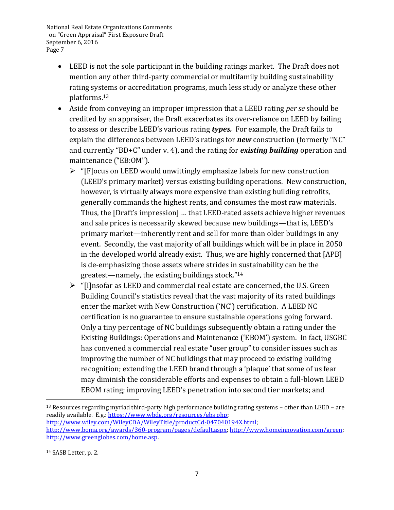- LEED is not the sole participant in the building ratings market. The Draft does not mention any other third-party commercial or multifamily building sustainability rating systems or accreditation programs, much less study or analyze these other platforms.<sup>13</sup>
- Aside from conveying an improper impression that a LEED rating *per se* should be credited by an appraiser, the Draft exacerbates its over-reliance on LEED by failing to assess or describe LEED's various rating *types.* For example, the Draft fails to explain the differences between LEED's ratings for *new* construction (formerly "NC" and currently "BD+C" under v. 4), and the rating for *existing building* operation and maintenance ("EB:OM").
	- $\triangleright$  "[F] ocus on LEED would unwittingly emphasize labels for new construction (LEED's primary market) versus existing building operations. New construction, however, is virtually always more expensive than existing building retrofits, generally commands the highest rents, and consumes the most raw materials. Thus, the [Draft's impression] … that LEED-rated assets achieve higher revenues and sale prices is necessarily skewed because new buildings—that is, LEED's primary market—inherently rent and sell for more than older buildings in any event. Secondly, the vast majority of all buildings which will be in place in 2050 in the developed world already exist. Thus, we are highly concerned that [APB] is de-emphasizing those assets where strides in sustainability can be the greatest—namely, the existing buildings stock."<sup>14</sup>
	- $\triangleright$  "[I]nsofar as LEED and commercial real estate are concerned, the U.S. Green Building Council's statistics reveal that the vast majority of its rated buildings enter the market with New Construction ('NC') certification. A LEED NC certification is no guarantee to ensure sustainable operations going forward. Only a tiny percentage of NC buildings subsequently obtain a rating under the Existing Buildings: Operations and Maintenance ('EBOM') system. In fact, USGBC has convened a commercial real estate "user group" to consider issues such as improving the number of NC buildings that may proceed to existing building recognition; extending the LEED brand through a 'plaque' that some of us fear may diminish the considerable efforts and expenses to obtain a full-blown LEED EBOM rating; improving LEED's penetration into second tier markets; and

l

<sup>13</sup> Resources regarding myriad third-party high performance building rating systems – other than LEED – are readily available. E.g.[: https://www.wbdg.org/resources/gbs.php;](https://www.wbdg.org/resources/gbs.php)

[http://www.wiley.com/WileyCDA/WileyTitle/productCd-047040194X.html;](http://www.wiley.com/WileyCDA/WileyTitle/productCd-047040194X.html)

[http://www.boma.org/awards/360-program/pages/default.aspx;](http://www.boma.org/awards/360-program/pages/default.aspx) [http://www.homeinnovation.com/green;](http://www.homeinnovation.com/green) [http://www.greenglobes.com/home.asp.](http://www.greenglobes.com/home.asp)

<sup>14</sup> SASB Letter, p. 2.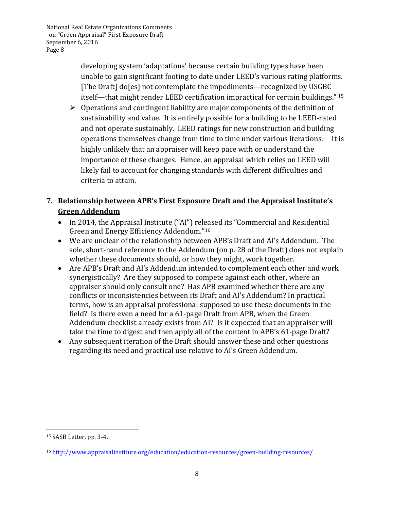> developing system 'adaptations' because certain building types have been unable to gain significant footing to date under LEED's various rating platforms. [The Draft] do[es] not contemplate the impediments—recognized by USGBC itself—that might render LEED certification impractical for certain buildings." <sup>15</sup>

 $\triangleright$  Operations and contingent liability are major components of the definition of sustainability and value. It is entirely possible for a building to be LEED-rated and not operate sustainably. LEED ratings for new construction and building operations themselves change from time to time under various iterations. It is highly unlikely that an appraiser will keep pace with or understand the importance of these changes. Hence, an appraisal which relies on LEED will likely fail to account for changing standards with different difficulties and criteria to attain.

# **7. Relationship between APB's First Exposure Draft and the Appraisal Institute's Green Addendum**

- In 2014, the Appraisal Institute ("AI") released its "Commercial and Residential Green and Energy Efficiency Addendum."<sup>16</sup>
- We are unclear of the relationship between APB's Draft and AI's Addendum. The sole, short-hand reference to the Addendum (on p. 28 of the Draft) does not explain whether these documents should, or how they might, work together.
- Are APB's Draft and AI's Addendum intended to complement each other and work synergistically? Are they supposed to compete against each other, where an appraiser should only consult one? Has APB examined whether there are any conflicts or inconsistencies between its Draft and AI's Addendum? In practical terms, how is an appraisal professional supposed to use these documents in the field? Is there even a need for a 61-page Draft from APB, when the Green Addendum checklist already exists from AI? Is it expected that an appraiser will take the time to digest and then apply all of the content in APB's 61-page Draft?
- Any subsequent iteration of the Draft should answer these and other questions regarding its need and practical use relative to AI's Green Addendum.

 $\overline{\phantom{a}}$ <sup>15</sup> SASB Letter, pp. 3-4.

<sup>16</sup> <http://www.appraisalinstitute.org/education/education-resources/green-building-resources/>